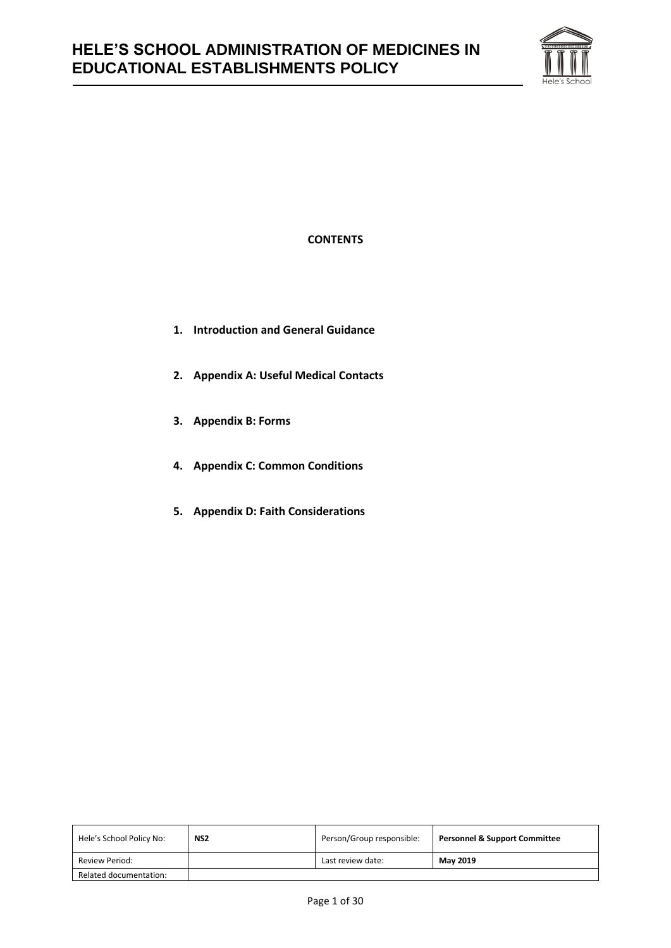

## **CONTENTS**

- **1. Introduction and General Guidance**
- **2. Appendix A: Useful Medical Contacts**
- **3. Appendix B: Forms**
- **4. Appendix C: Common Conditions**
- **5. Appendix D: Faith Considerations**

| Hele's School Policy No: | NS <sub>2</sub> | Person/Group responsible: | <b>Personnel &amp; Support Committee</b> |
|--------------------------|-----------------|---------------------------|------------------------------------------|
| Review Period:           |                 | Last review date:         | May 2019                                 |
| Related documentation:   |                 |                           |                                          |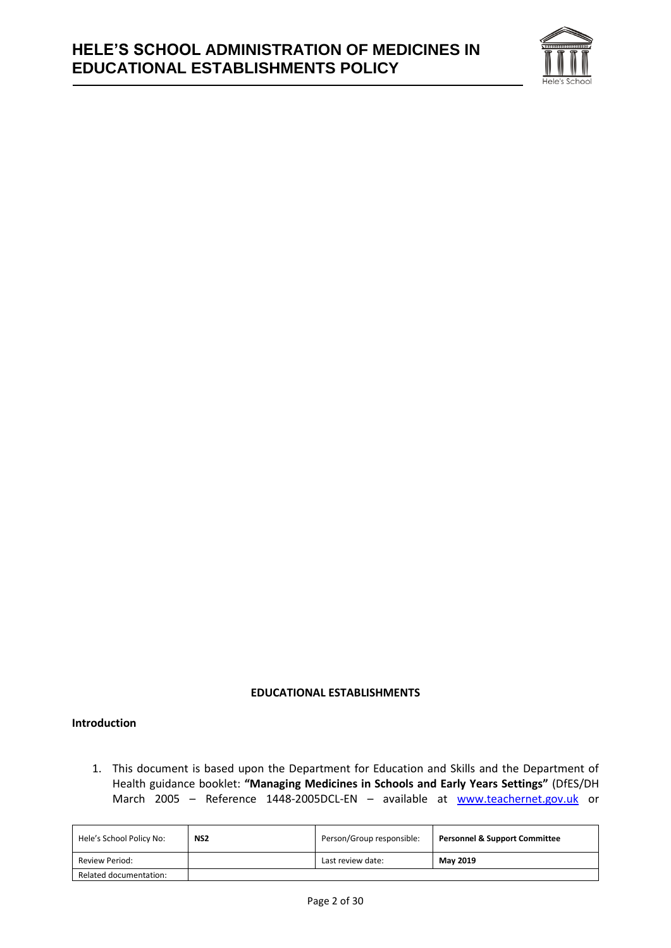

### **EDUCATIONAL ESTABLISHMENTS**

# **Introduction**

1. This document is based upon the Department for Education and Skills and the Department of Health guidance booklet: **"Managing Medicines in Schools and Early Years Settings"** (DfES/DH March 2005 – Reference 1448-2005DCL-EN – available at [www.teachernet.gov.uk](http://www.teachernet.gov.uk/) or

| Hele's School Policy No: | NS <sub>2</sub> | Person/Group responsible: | <b>Personnel &amp; Support Committee</b> |
|--------------------------|-----------------|---------------------------|------------------------------------------|
| Review Period:           |                 | Last review date:         | Mav 2019                                 |
| Related documentation:   |                 |                           |                                          |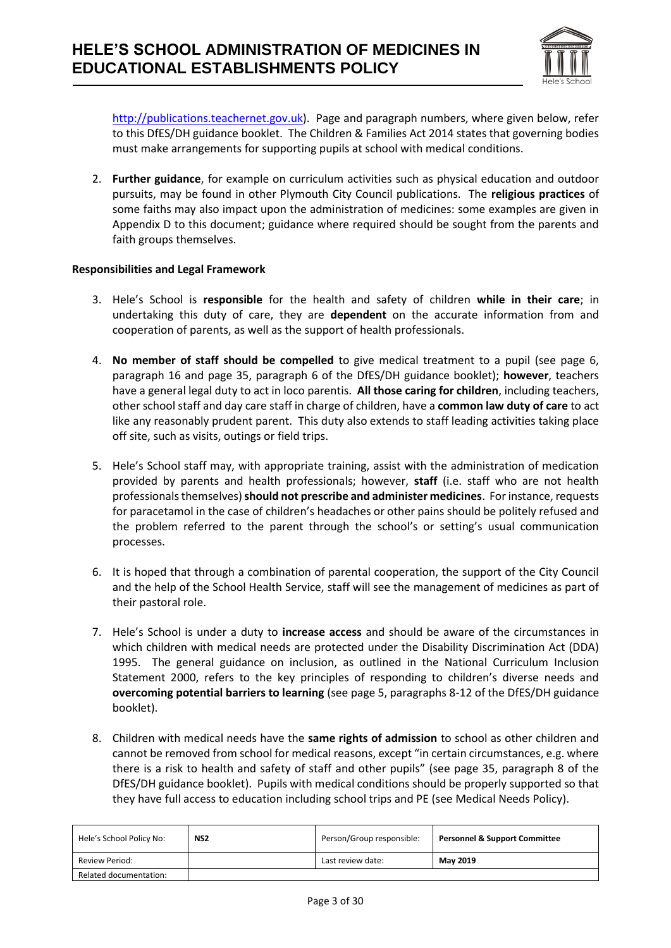

[http://publications.teachernet.gov.uk\)](http://publications.teachernet.gov.uk/). Page and paragraph numbers, where given below, refer to this DfES/DH guidance booklet. The Children & Families Act 2014 states that governing bodies must make arrangements for supporting pupils at school with medical conditions.

2. **Further guidance**, for example on curriculum activities such as physical education and outdoor pursuits, may be found in other Plymouth City Council publications. The **religious practices** of some faiths may also impact upon the administration of medicines: some examples are given in Appendix D to this document; guidance where required should be sought from the parents and faith groups themselves.

## **Responsibilities and Legal Framework**

- 3. Hele's School is **responsible** for the health and safety of children **while in their care**; in undertaking this duty of care, they are **dependent** on the accurate information from and cooperation of parents, as well as the support of health professionals.
- 4. **No member of staff should be compelled** to give medical treatment to a pupil (see page 6, paragraph 16 and page 35, paragraph 6 of the DfES/DH guidance booklet); **however**, teachers have a general legal duty to act in loco parentis. **All those caring for children**, including teachers, other school staff and day care staff in charge of children, have a **common law duty of care** to act like any reasonably prudent parent. This duty also extends to staff leading activities taking place off site, such as visits, outings or field trips.
- 5. Hele's School staff may, with appropriate training, assist with the administration of medication provided by parents and health professionals; however, **staff** (i.e. staff who are not health professionals themselves) **should not prescribe and administer medicines**. For instance, requests for paracetamol in the case of children's headaches or other pains should be politely refused and the problem referred to the parent through the school's or setting's usual communication processes.
- 6. It is hoped that through a combination of parental cooperation, the support of the City Council and the help of the School Health Service, staff will see the management of medicines as part of their pastoral role.
- 7. Hele's School is under a duty to **increase access** and should be aware of the circumstances in which children with medical needs are protected under the Disability Discrimination Act (DDA) 1995. The general guidance on inclusion, as outlined in the National Curriculum Inclusion Statement 2000, refers to the key principles of responding to children's diverse needs and **overcoming potential barriers to learning** (see page 5, paragraphs 8-12 of the DfES/DH guidance booklet).
- 8. Children with medical needs have the **same rights of admission** to school as other children and cannot be removed from school for medical reasons, except "in certain circumstances, e.g. where there is a risk to health and safety of staff and other pupils" (see page 35, paragraph 8 of the DfES/DH guidance booklet). Pupils with medical conditions should be properly supported so that they have full access to education including school trips and PE (see Medical Needs Policy).

| Hele's School Policy No: | NS <sub>2</sub> | Person/Group responsible: | <b>Personnel &amp; Support Committee</b> |
|--------------------------|-----------------|---------------------------|------------------------------------------|
| Review Period:           |                 | Last review date:         | Mav 2019                                 |
| Related documentation:   |                 |                           |                                          |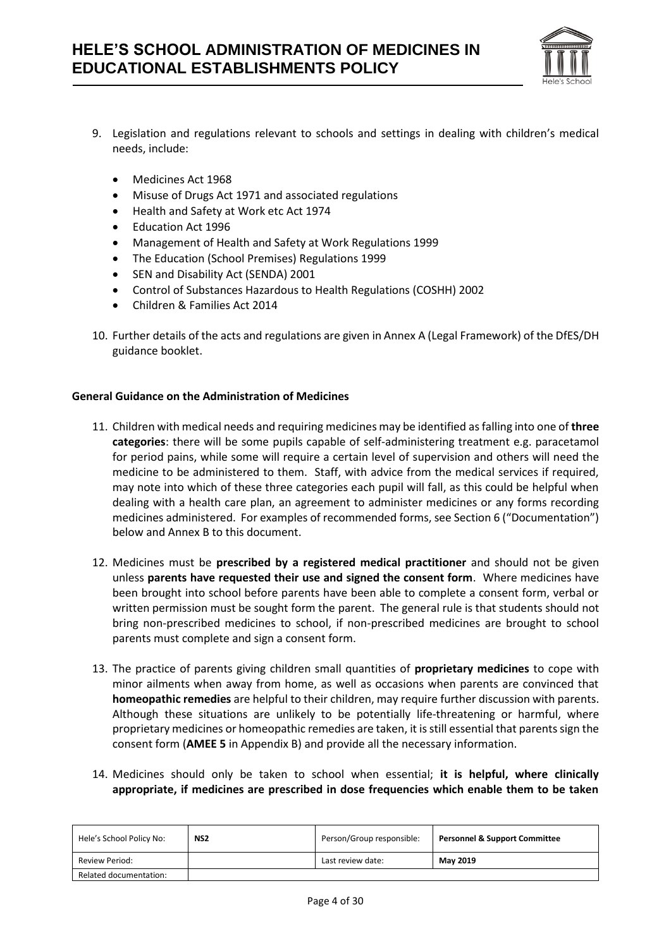

- 9. Legislation and regulations relevant to schools and settings in dealing with children's medical needs, include:
	- Medicines Act 1968
	- Misuse of Drugs Act 1971 and associated regulations
	- Health and Safety at Work etc Act 1974
	- Education Act 1996
	- Management of Health and Safety at Work Regulations 1999
	- The Education (School Premises) Regulations 1999
	- SEN and Disability Act (SENDA) 2001
	- Control of Substances Hazardous to Health Regulations (COSHH) 2002
	- Children & Families Act 2014
- 10. Further details of the acts and regulations are given in Annex A (Legal Framework) of the DfES/DH guidance booklet.

### **General Guidance on the Administration of Medicines**

- 11. Children with medical needs and requiring medicines may be identified as falling into one of **three categories**: there will be some pupils capable of self-administering treatment e.g. paracetamol for period pains, while some will require a certain level of supervision and others will need the medicine to be administered to them. Staff, with advice from the medical services if required, may note into which of these three categories each pupil will fall, as this could be helpful when dealing with a health care plan, an agreement to administer medicines or any forms recording medicines administered. For examples of recommended forms, see Section 6 ("Documentation") below and Annex B to this document.
- 12. Medicines must be **prescribed by a registered medical practitioner** and should not be given unless **parents have requested their use and signed the consent form**. Where medicines have been brought into school before parents have been able to complete a consent form, verbal or written permission must be sought form the parent. The general rule is that students should not bring non-prescribed medicines to school, if non-prescribed medicines are brought to school parents must complete and sign a consent form.
- 13. The practice of parents giving children small quantities of **proprietary medicines** to cope with minor ailments when away from home, as well as occasions when parents are convinced that **homeopathic remedies** are helpful to their children, may require further discussion with parents. Although these situations are unlikely to be potentially life-threatening or harmful, where proprietary medicines or homeopathic remedies are taken, it is still essential that parents sign the consent form (**AMEE 5** in Appendix B) and provide all the necessary information.
- 14. Medicines should only be taken to school when essential; **it is helpful, where clinically appropriate, if medicines are prescribed in dose frequencies which enable them to be taken**

| Hele's School Policy No: | NS <sub>2</sub> | Person/Group responsible: | <b>Personnel &amp; Support Committee</b> |
|--------------------------|-----------------|---------------------------|------------------------------------------|
| Review Period:           |                 | Last review date:         | May 2019                                 |
| Related documentation:   |                 |                           |                                          |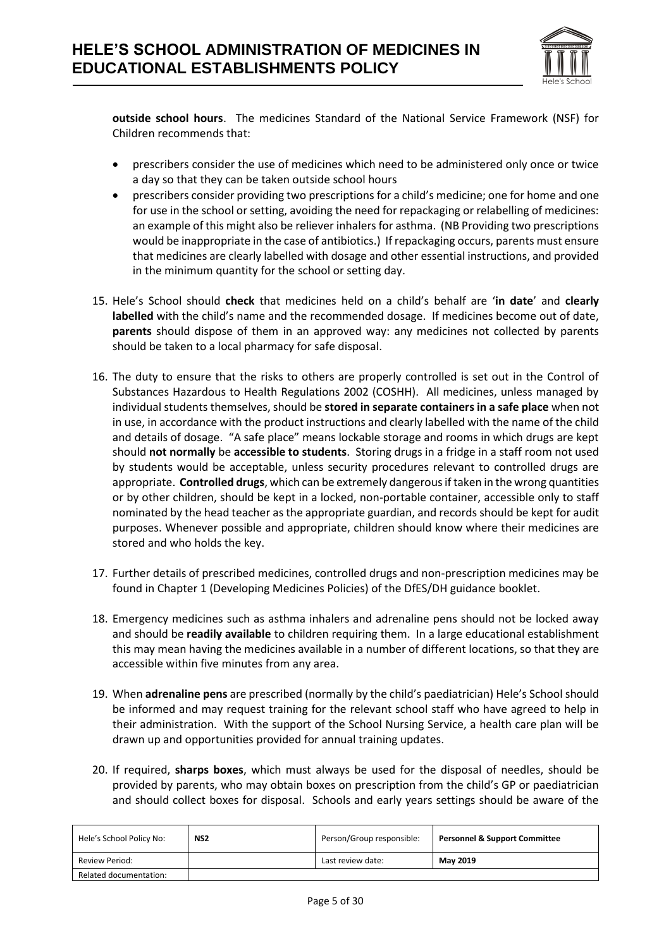

**outside school hours**. The medicines Standard of the National Service Framework (NSF) for Children recommends that:

- prescribers consider the use of medicines which need to be administered only once or twice a day so that they can be taken outside school hours
- prescribers consider providing two prescriptions for a child's medicine; one for home and one for use in the school or setting, avoiding the need for repackaging or relabelling of medicines: an example of this might also be reliever inhalers for asthma. (NB Providing two prescriptions would be inappropriate in the case of antibiotics.) If repackaging occurs, parents must ensure that medicines are clearly labelled with dosage and other essential instructions, and provided in the minimum quantity for the school or setting day.
- 15. Hele's School should **check** that medicines held on a child's behalf are '**in date**' and **clearly labelled** with the child's name and the recommended dosage. If medicines become out of date, **parents** should dispose of them in an approved way: any medicines not collected by parents should be taken to a local pharmacy for safe disposal.
- 16. The duty to ensure that the risks to others are properly controlled is set out in the Control of Substances Hazardous to Health Regulations 2002 (COSHH). All medicines, unless managed by individual students themselves, should be **stored in separate containers in a safe place** when not in use, in accordance with the product instructions and clearly labelled with the name of the child and details of dosage. "A safe place" means lockable storage and rooms in which drugs are kept should **not normally** be **accessible to students**. Storing drugs in a fridge in a staff room not used by students would be acceptable, unless security procedures relevant to controlled drugs are appropriate. **Controlled drugs**, which can be extremely dangerous if taken in the wrong quantities or by other children, should be kept in a locked, non-portable container, accessible only to staff nominated by the head teacher as the appropriate guardian, and records should be kept for audit purposes. Whenever possible and appropriate, children should know where their medicines are stored and who holds the key.
- 17. Further details of prescribed medicines, controlled drugs and non-prescription medicines may be found in Chapter 1 (Developing Medicines Policies) of the DfES/DH guidance booklet.
- 18. Emergency medicines such as asthma inhalers and adrenaline pens should not be locked away and should be **readily available** to children requiring them. In a large educational establishment this may mean having the medicines available in a number of different locations, so that they are accessible within five minutes from any area.
- 19. When **adrenaline pens** are prescribed (normally by the child's paediatrician) Hele's School should be informed and may request training for the relevant school staff who have agreed to help in their administration. With the support of the School Nursing Service, a health care plan will be drawn up and opportunities provided for annual training updates.
- 20. If required, **sharps boxes**, which must always be used for the disposal of needles, should be provided by parents, who may obtain boxes on prescription from the child's GP or paediatrician and should collect boxes for disposal. Schools and early years settings should be aware of the

| Hele's School Policy No: | NS <sub>2</sub> | Person/Group responsible: | <b>Personnel &amp; Support Committee</b> |
|--------------------------|-----------------|---------------------------|------------------------------------------|
| Review Period:           |                 | Last review date:         | May 2019                                 |
| Related documentation:   |                 |                           |                                          |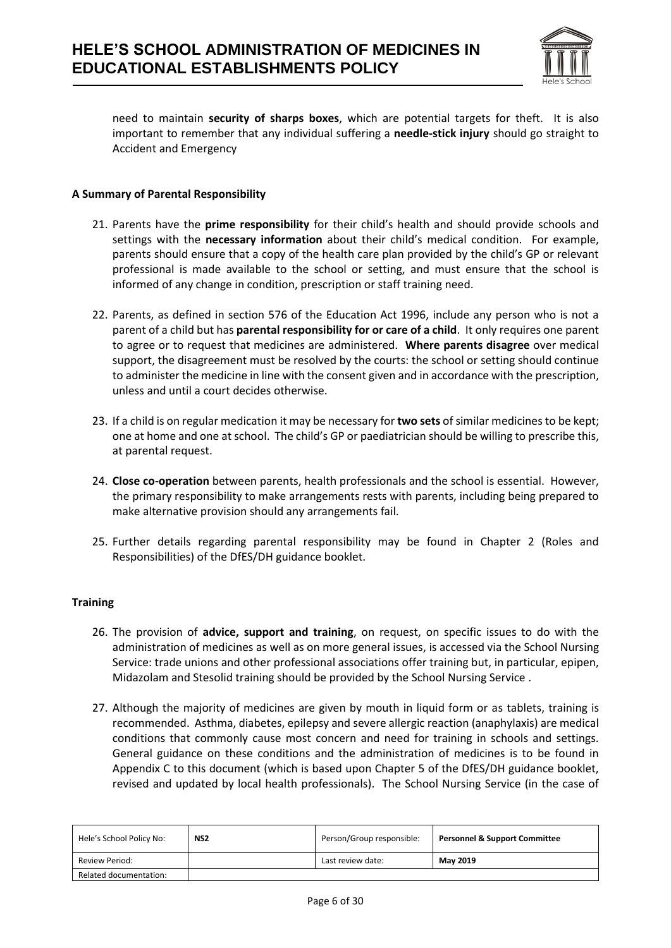

need to maintain **security of sharps boxes**, which are potential targets for theft. It is also important to remember that any individual suffering a **needle-stick injury** should go straight to Accident and Emergency

# **A Summary of Parental Responsibility**

- 21. Parents have the **prime responsibility** for their child's health and should provide schools and settings with the **necessary information** about their child's medical condition. For example, parents should ensure that a copy of the health care plan provided by the child's GP or relevant professional is made available to the school or setting, and must ensure that the school is informed of any change in condition, prescription or staff training need.
- 22. Parents, as defined in section 576 of the Education Act 1996, include any person who is not a parent of a child but has **parental responsibility for or care of a child**. It only requires one parent to agree or to request that medicines are administered. **Where parents disagree** over medical support, the disagreement must be resolved by the courts: the school or setting should continue to administer the medicine in line with the consent given and in accordance with the prescription, unless and until a court decides otherwise.
- 23. If a child is on regular medication it may be necessary for **two sets** of similar medicines to be kept; one at home and one at school. The child's GP or paediatrician should be willing to prescribe this, at parental request.
- 24. **Close co-operation** between parents, health professionals and the school is essential. However, the primary responsibility to make arrangements rests with parents, including being prepared to make alternative provision should any arrangements fail.
- 25. Further details regarding parental responsibility may be found in Chapter 2 (Roles and Responsibilities) of the DfES/DH guidance booklet.

### **Training**

- 26. The provision of **advice, support and training**, on request, on specific issues to do with the administration of medicines as well as on more general issues, is accessed via the School Nursing Service: trade unions and other professional associations offer training but, in particular, epipen, Midazolam and Stesolid training should be provided by the School Nursing Service .
- 27. Although the majority of medicines are given by mouth in liquid form or as tablets, training is recommended. Asthma, diabetes, epilepsy and severe allergic reaction (anaphylaxis) are medical conditions that commonly cause most concern and need for training in schools and settings. General guidance on these conditions and the administration of medicines is to be found in Appendix C to this document (which is based upon Chapter 5 of the DfES/DH guidance booklet, revised and updated by local health professionals). The School Nursing Service (in the case of

| Hele's School Policy No: | NS <sub>2</sub> | Person/Group responsible: | <b>Personnel &amp; Support Committee</b> |
|--------------------------|-----------------|---------------------------|------------------------------------------|
| Review Period:           |                 | Last review date:         | May 2019                                 |
| Related documentation:   |                 |                           |                                          |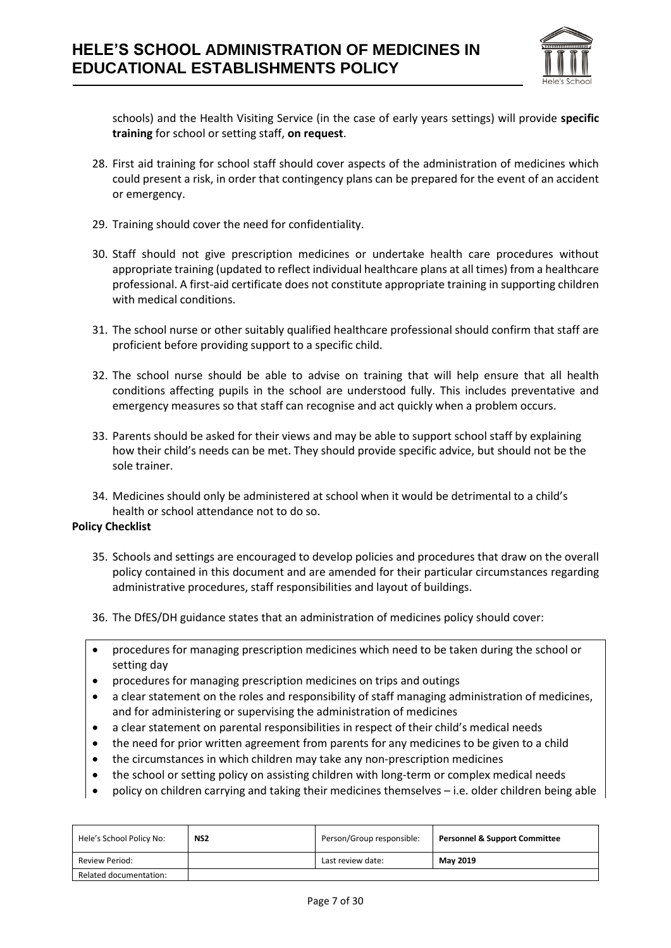

schools) and the Health Visiting Service (in the case of early years settings) will provide **specific training** for school or setting staff, **on request**.

- 28. First aid training for school staff should cover aspects of the administration of medicines which could present a risk, in order that contingency plans can be prepared for the event of an accident or emergency.
- 29. Training should cover the need for confidentiality.
- 30. Staff should not give prescription medicines or undertake health care procedures without appropriate training (updated to reflect individual healthcare plans at all times) from a healthcare professional. A first-aid certificate does not constitute appropriate training in supporting children with medical conditions.
- 31. The school nurse or other suitably qualified healthcare professional should confirm that staff are proficient before providing support to a specific child.
- 32. The school nurse should be able to advise on training that will help ensure that all health conditions affecting pupils in the school are understood fully. This includes preventative and emergency measures so that staff can recognise and act quickly when a problem occurs.
- 33. Parents should be asked for their views and may be able to support school staff by explaining how their child's needs can be met. They should provide specific advice, but should not be the sole trainer.
- 34. Medicines should only be administered at school when it would be detrimental to a child's health or school attendance not to do so.

### **Policy Checklist**

- 35. Schools and settings are encouraged to develop policies and procedures that draw on the overall policy contained in this document and are amended for their particular circumstances regarding administrative procedures, staff responsibilities and layout of buildings.
- 36. The DfES/DH guidance states that an administration of medicines policy should cover:
- procedures for managing prescription medicines which need to be taken during the school or setting day
- procedures for managing prescription medicines on trips and outings
- a clear statement on the roles and responsibility of staff managing administration of medicines, and for administering or supervising the administration of medicines
- a clear statement on parental responsibilities in respect of their child's medical needs
- the need for prior written agreement from parents for any medicines to be given to a child
- the circumstances in which children may take any non-prescription medicines
- the school or setting policy on assisting children with long-term or complex medical needs
- policy on children carrying and taking their medicines themselves i.e. older children being able

| Hele's School Policy No: | NS <sub>2</sub> | Person/Group responsible: | <b>Personnel &amp; Support Committee</b> |
|--------------------------|-----------------|---------------------------|------------------------------------------|
| Review Period:           |                 | Last review date:         | May 2019                                 |
| Related documentation:   |                 |                           |                                          |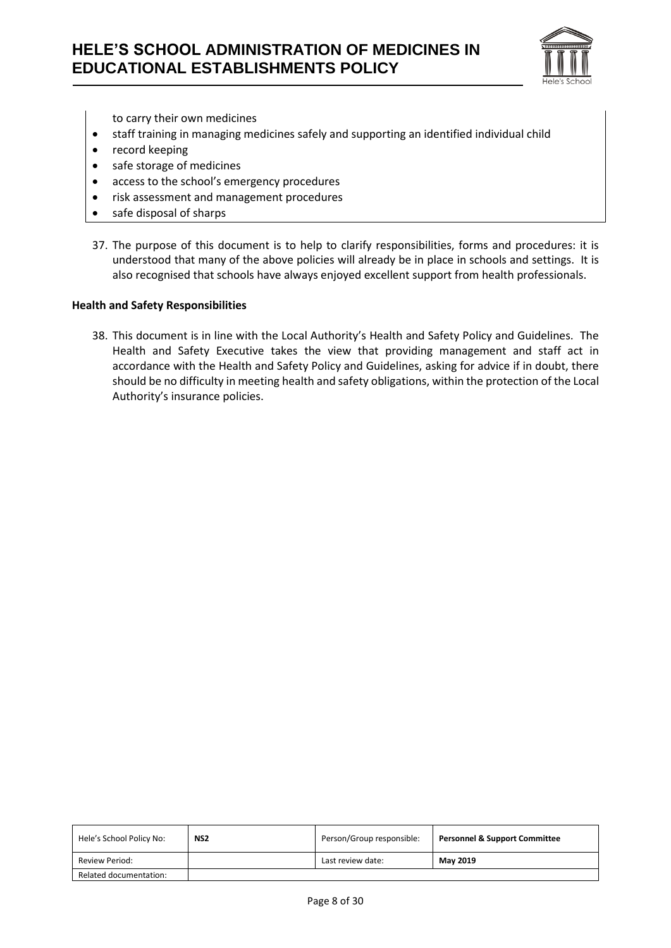

to carry their own medicines

- staff training in managing medicines safely and supporting an identified individual child
- record keeping
- safe storage of medicines
- access to the school's emergency procedures
- risk assessment and management procedures
- safe disposal of sharps
- 37. The purpose of this document is to help to clarify responsibilities, forms and procedures: it is understood that many of the above policies will already be in place in schools and settings. It is also recognised that schools have always enjoyed excellent support from health professionals.

### **Health and Safety Responsibilities**

38. This document is in line with the Local Authority's Health and Safety Policy and Guidelines. The Health and Safety Executive takes the view that providing management and staff act in accordance with the Health and Safety Policy and Guidelines, asking for advice if in doubt, there should be no difficulty in meeting health and safety obligations, within the protection of the Local Authority's insurance policies.

| Hele's School Policy No: | NS <sub>2</sub> | Person/Group responsible: | <b>Personnel &amp; Support Committee</b> |
|--------------------------|-----------------|---------------------------|------------------------------------------|
| Review Period:           |                 | Last review date:         | May 2019                                 |
| Related documentation:   |                 |                           |                                          |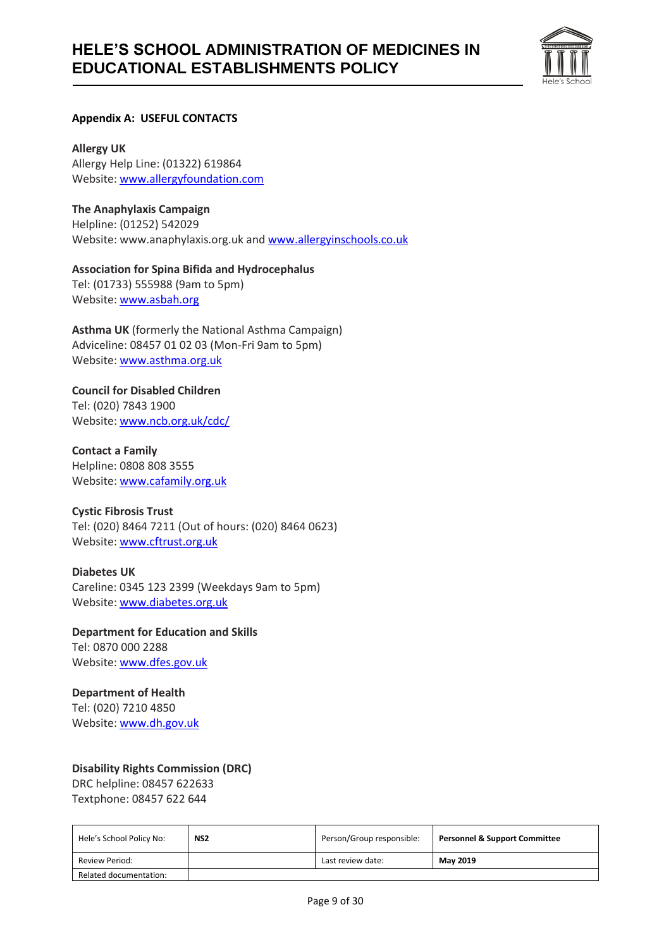

### **Appendix A: USEFUL CONTACTS**:

**Allergy UK** Allergy Help Line: (01322) 619864 Website: [www.allergyfoundation.com](http://www.allergyfoundation.com/)

### **The Anaphylaxis Campaign**

Helpline: (01252) 542029 Website: www.anaphylaxis.org.uk and [www.allergyinschools.co.uk](http://www.allergyinschools.co.uk/)

**Association for Spina Bifida and Hydrocephalus** Tel: (01733) 555988 (9am to 5pm) Website: [www.asbah.org](http://www.asbah.org/)

**Asthma UK** (formerly the National Asthma Campaign) Adviceline: 08457 01 02 03 (Mon-Fri 9am to 5pm) Website: [www.asthma.org.uk](http://www.asthma.org.uk/)

**Council for Disabled Children** Tel: (020) 7843 1900 Website: [www.ncb.org.uk/cdc/](http://www.ncb.org.uk/cdc/)

**Contact a Family** Helpline: 0808 808 3555 Website: [www.cafamily.org.uk](http://www.cafamily.org.uk/)

### **Cystic Fibrosis Trust**

Tel: (020) 8464 7211 (Out of hours: (020) 8464 0623) Website: [www.cftrust.org.uk](http://www.cftrust.org.uk/)

### **Diabetes UK**

Careline: 0345 123 2399 (Weekdays 9am to 5pm) Website: [www.diabetes.org.uk](http://www.diabetes.org.uk/)

**Department for Education and Skills** Tel: 0870 000 2288 Website: [www.dfes.gov.uk](http://www.dfes.gov.uk/)

**Department of Health** Tel: (020) 7210 4850 Website: [www.dh.gov.uk](http://www.dh.gov.uk/)

# **Disability Rights Commission (DRC)**

DRC helpline: 08457 622633 Textphone: 08457 622 644

| Hele's School Policy No: | NS <sub>2</sub> | Person/Group responsible: | <b>Personnel &amp; Support Committee</b> |
|--------------------------|-----------------|---------------------------|------------------------------------------|
| Review Period:           |                 | Last review date:         | May 2019                                 |
| Related documentation:   |                 |                           |                                          |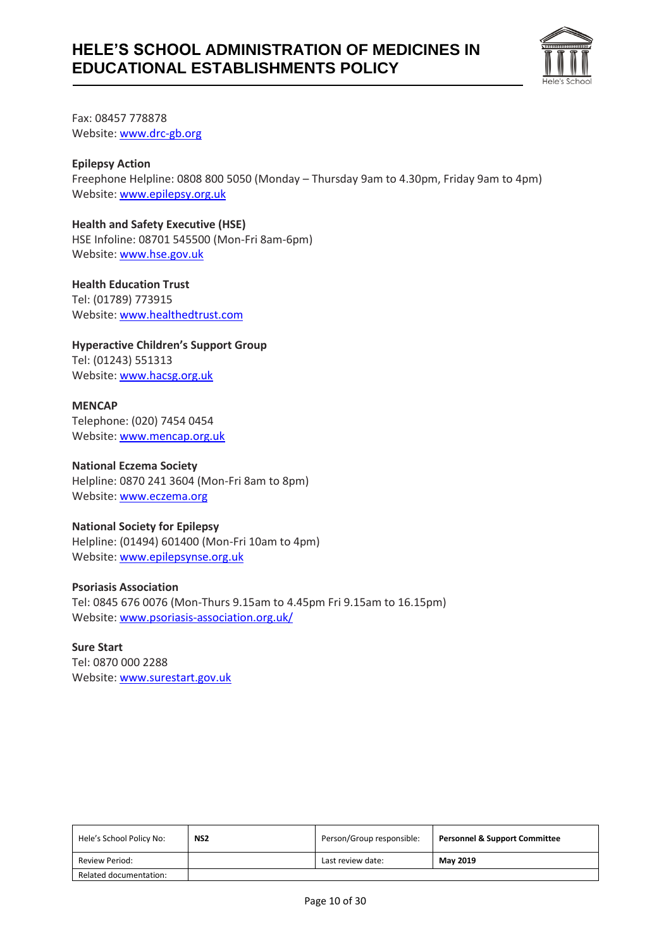

Fax: 08457 778878 Website: [www.drc-gb.org](http://www.drc-gb.org/)

## **Epilepsy Action**

Freephone Helpline: 0808 800 5050 (Monday – Thursday 9am to 4.30pm, Friday 9am to 4pm) Website: [www.epilepsy.org.uk](http://www.epilepsy.org.uk/)

**Health and Safety Executive (HSE)** HSE Infoline: 08701 545500 (Mon-Fri 8am-6pm) Website: [www.hse.gov.uk](http://www.hse.gov.uk/)

**Health Education Trust** Tel: (01789) 773915 Website: [www.healthedtrust.com](http://www.healthedtrust.com/)

**Hyperactive Children's Support Group** Tel: (01243) 551313 Website: [www.hacsg.org.uk](http://www.hacsg.org.uk/)

# **MENCAP**

Telephone: (020) 7454 0454 Website: [www.mencap.org.uk](http://www.mencap.org.uk/)

## **National Eczema Society**

Helpline: 0870 241 3604 (Mon-Fri 8am to 8pm) Website: [www.eczema.org](http://www.eczema.org/)

### **National Society for Epilepsy**

Helpline: (01494) 601400 (Mon-Fri 10am to 4pm) Website: [www.epilepsynse.org.uk](http://www.epilepsynse.org.uk/)

# **Psoriasis Association**

Tel: 0845 676 0076 (Mon-Thurs 9.15am to 4.45pm Fri 9.15am to 16.15pm) Website: [www.psoriasis-association.org.uk/](http://www.psoriasis-association.org.uk/)

### **Sure Start**

Tel: 0870 000 2288 Website: [www.surestart.gov.uk](http://www.surestart.gov.uk/)

| Hele's School Policy No: | NS <sub>2</sub> | Person/Group responsible: | <b>Personnel &amp; Support Committee</b> |
|--------------------------|-----------------|---------------------------|------------------------------------------|
| Review Period:           |                 | Last review date:         | <b>May 2019</b>                          |
| Related documentation:   |                 |                           |                                          |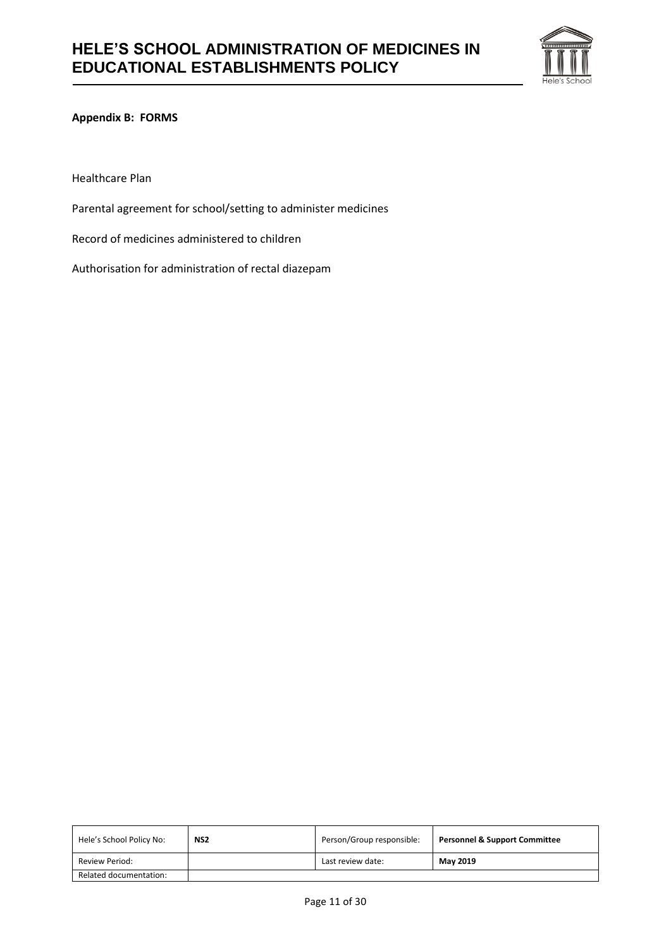

# **Appendix B: FORMS**

Healthcare Plan

Parental agreement for school/setting to administer medicines

Record of medicines administered to children

Authorisation for administration of rectal diazepam

| Hele's School Policy No: | NS <sub>2</sub> | Person/Group responsible: | <b>Personnel &amp; Support Committee</b> |
|--------------------------|-----------------|---------------------------|------------------------------------------|
| Review Period:           |                 | Last review date:         | May 2019                                 |
| Related documentation:   |                 |                           |                                          |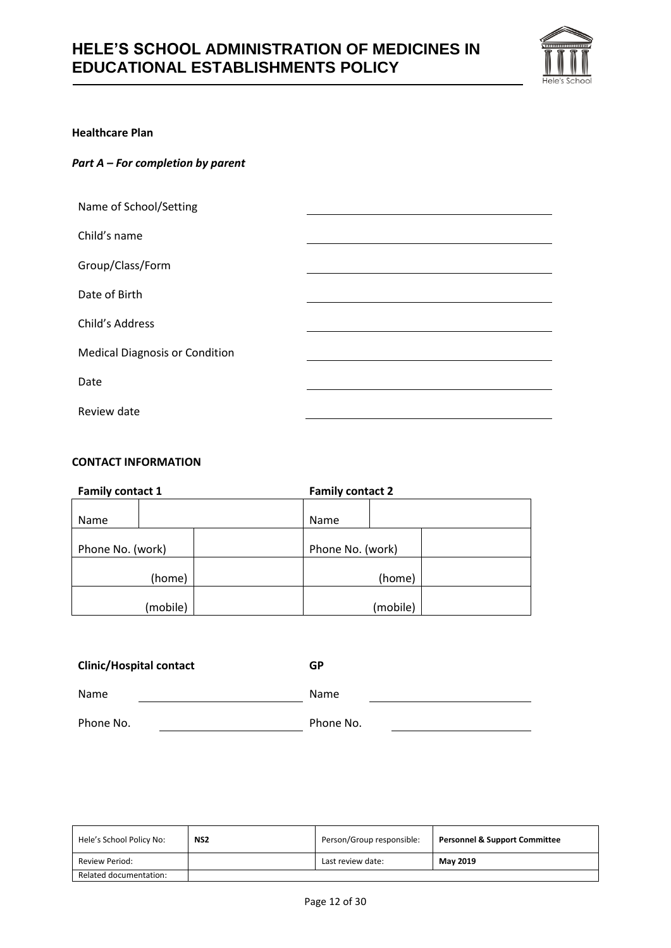

# **Healthcare Plan**

|  | Part A – For completion by parent |  |  |
|--|-----------------------------------|--|--|
|--|-----------------------------------|--|--|

| Name of School/Setting                |  |
|---------------------------------------|--|
| Child's name                          |  |
| Group/Class/Form                      |  |
| Date of Birth                         |  |
| Child's Address                       |  |
| <b>Medical Diagnosis or Condition</b> |  |
| Date                                  |  |
| Review date                           |  |

# **CONTACT INFORMATION**

| <b>Family contact 1</b><br><b>Family contact 2</b> |          |  |                  |          |  |
|----------------------------------------------------|----------|--|------------------|----------|--|
|                                                    |          |  |                  |          |  |
| Name                                               |          |  | Name             |          |  |
|                                                    |          |  |                  |          |  |
| Phone No. (work)                                   |          |  | Phone No. (work) |          |  |
|                                                    |          |  |                  |          |  |
|                                                    | (home)   |  |                  | (home)   |  |
|                                                    |          |  |                  |          |  |
|                                                    | (mobile) |  |                  | (mobile) |  |

| <b>Clinic/Hospital contact</b> | GP        |
|--------------------------------|-----------|
| Name                           | Name      |
| Phone No.                      | Phone No. |

| Hele's School Policy No: | NS <sub>2</sub> | Person/Group responsible: | <b>Personnel &amp; Support Committee</b> |
|--------------------------|-----------------|---------------------------|------------------------------------------|
| Review Period:           |                 | Last review date:         | May 2019                                 |
| Related documentation:   |                 |                           |                                          |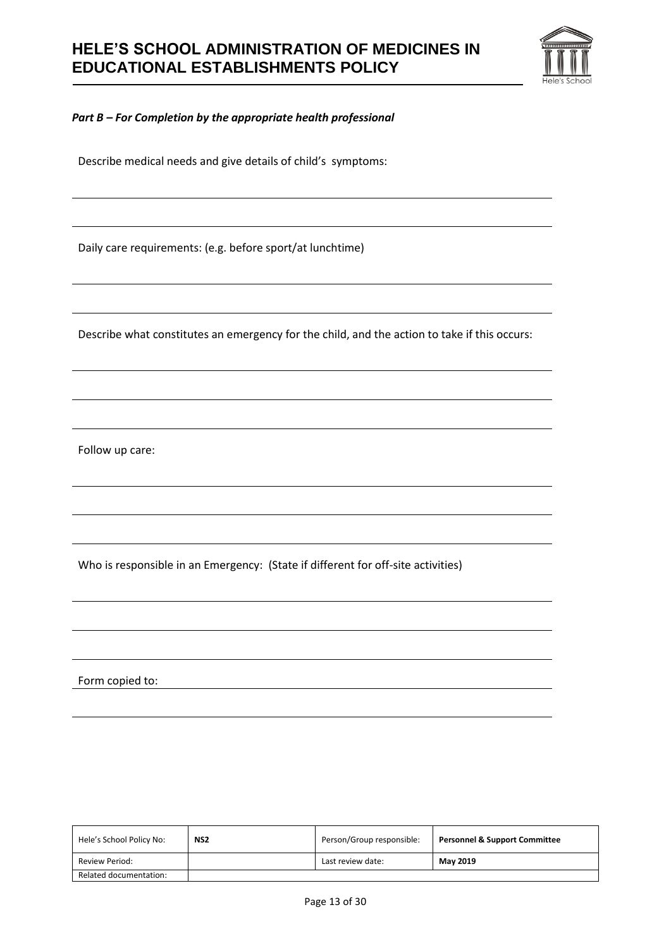

### *Part B – For Completion by the appropriate health professional*

Describe medical needs and give details of child's symptoms:

Daily care requirements: (e.g. before sport/at lunchtime)

Describe what constitutes an emergency for the child, and the action to take if this occurs:

Follow up care:

Who is responsible in an Emergency: (State if different for off-site activities)

Form copied to:

| Hele's School Policy No: | NS <sub>2</sub> | Person/Group responsible: | <b>Personnel &amp; Support Committee</b> |
|--------------------------|-----------------|---------------------------|------------------------------------------|
| Review Period:           |                 | Last review date:         | Mav 2019                                 |
| Related documentation:   |                 |                           |                                          |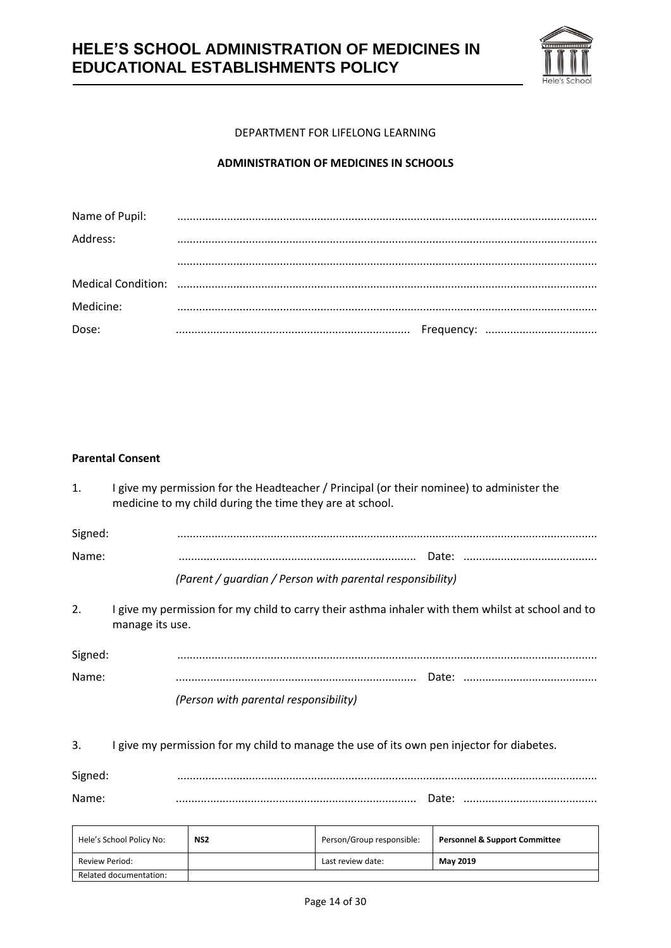

### DEPARTMENT FOR LIFELONG LEARNING

### **ADMINISTRATION OF MEDICINES IN SCHOOLS**

| Name of Pupil: |  |
|----------------|--|
| Address:       |  |
|                |  |
|                |  |
| Medicine:      |  |
| Dose:          |  |

### **Parental Consent**

Related documentation:

| 1.                    |                                                                                           | I give my permission for the Headteacher / Principal (or their nominee) to administer the<br>medicine to my child during the time they are at school. |                           |                                                                                                   |  |  |  |
|-----------------------|-------------------------------------------------------------------------------------------|-------------------------------------------------------------------------------------------------------------------------------------------------------|---------------------------|---------------------------------------------------------------------------------------------------|--|--|--|
| Signed:               |                                                                                           |                                                                                                                                                       |                           |                                                                                                   |  |  |  |
| Name:                 |                                                                                           |                                                                                                                                                       |                           |                                                                                                   |  |  |  |
|                       |                                                                                           | (Parent / guardian / Person with parental responsibility)                                                                                             |                           |                                                                                                   |  |  |  |
| 2.                    | manage its use.                                                                           |                                                                                                                                                       |                           | I give my permission for my child to carry their asthma inhaler with them whilst at school and to |  |  |  |
| Signed:               |                                                                                           |                                                                                                                                                       |                           |                                                                                                   |  |  |  |
| Name:                 |                                                                                           |                                                                                                                                                       |                           |                                                                                                   |  |  |  |
|                       |                                                                                           | (Person with parental responsibility)                                                                                                                 |                           |                                                                                                   |  |  |  |
| 3.                    | I give my permission for my child to manage the use of its own pen injector for diabetes. |                                                                                                                                                       |                           |                                                                                                   |  |  |  |
| Signed:               |                                                                                           |                                                                                                                                                       |                           |                                                                                                   |  |  |  |
| Name:                 |                                                                                           |                                                                                                                                                       |                           |                                                                                                   |  |  |  |
|                       | Hele's School Policy No:                                                                  | NS <sub>2</sub>                                                                                                                                       | Person/Group responsible: | <b>Personnel &amp; Support Committee</b>                                                          |  |  |  |
| <b>Review Period:</b> |                                                                                           |                                                                                                                                                       | Last review date:         | May 2019                                                                                          |  |  |  |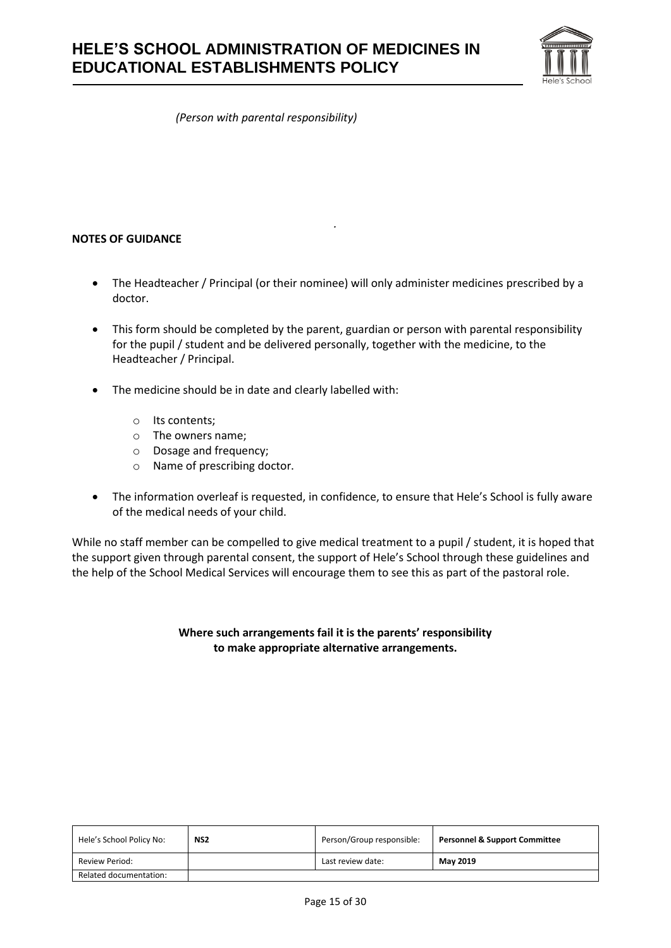

*(Person with parental responsibility)*

## **NOTES OF GUIDANCE**

• The Headteacher / Principal (or their nominee) will only administer medicines prescribed by a doctor.

*.*

- This form should be completed by the parent, guardian or person with parental responsibility for the pupil / student and be delivered personally, together with the medicine, to the Headteacher / Principal.
- The medicine should be in date and clearly labelled with:
	- o Its contents;
	- o The owners name;
	- o Dosage and frequency;
	- o Name of prescribing doctor.
- The information overleaf is requested, in confidence, to ensure that Hele's School is fully aware of the medical needs of your child.

While no staff member can be compelled to give medical treatment to a pupil / student, it is hoped that the support given through parental consent, the support of Hele's School through these guidelines and the help of the School Medical Services will encourage them to see this as part of the pastoral role.

### **Where such arrangements fail it is the parents' responsibility to make appropriate alternative arrangements.**

| Hele's School Policy No: | NS <sub>2</sub> | Person/Group responsible: | <b>Personnel &amp; Support Committee</b> |
|--------------------------|-----------------|---------------------------|------------------------------------------|
| Review Period:           |                 | Last review date:         | May 2019                                 |
| Related documentation:   |                 |                           |                                          |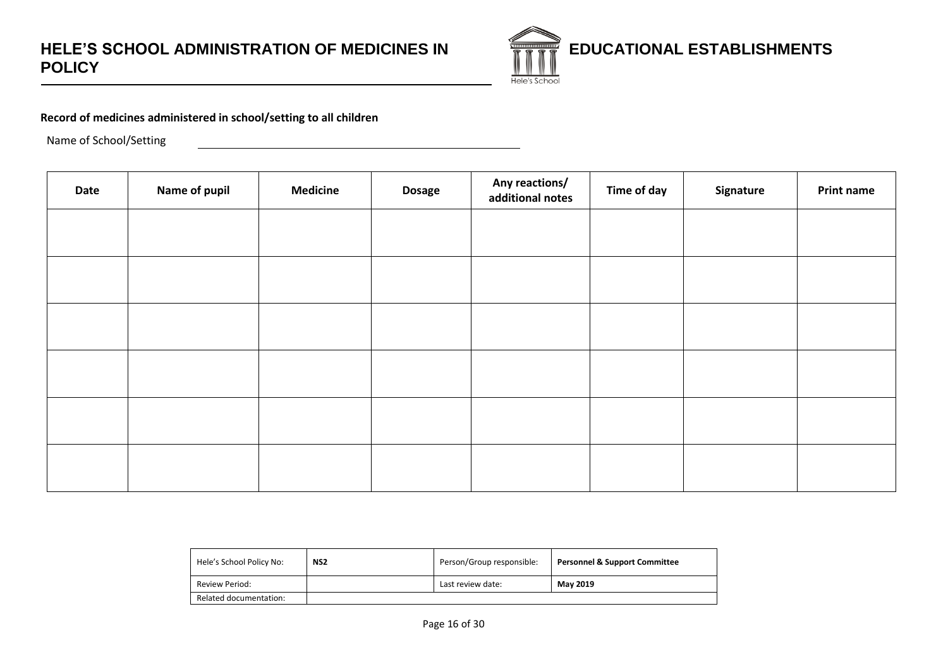

# **Record of medicines administered in school/setting to all children**

Name of School/Setting

| Date | Name of pupil | <b>Medicine</b> | <b>Dosage</b> | Any reactions/<br>additional notes | Time of day | Signature | <b>Print name</b> |
|------|---------------|-----------------|---------------|------------------------------------|-------------|-----------|-------------------|
|      |               |                 |               |                                    |             |           |                   |
|      |               |                 |               |                                    |             |           |                   |
|      |               |                 |               |                                    |             |           |                   |
|      |               |                 |               |                                    |             |           |                   |
|      |               |                 |               |                                    |             |           |                   |
|      |               |                 |               |                                    |             |           |                   |

| Hele's School Policy No: | NS <sub>2</sub> | Person/Group responsible: | <b>Personnel &amp; Support Committee</b> |
|--------------------------|-----------------|---------------------------|------------------------------------------|
| Review Period:           |                 | Last review date:         | May 2019                                 |
| Related documentation:   |                 |                           |                                          |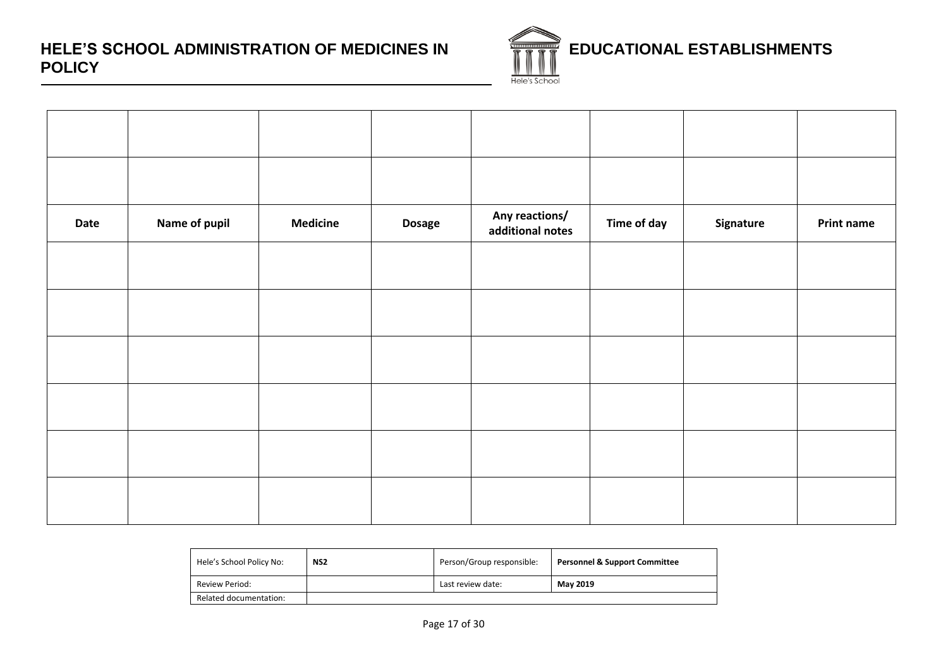# **POLICY**



| Date | Name of pupil | <b>Medicine</b> | <b>Dosage</b> | Any reactions/<br>additional notes | Time of day | Signature | <b>Print name</b> |
|------|---------------|-----------------|---------------|------------------------------------|-------------|-----------|-------------------|
|      |               |                 |               |                                    |             |           |                   |
|      |               |                 |               |                                    |             |           |                   |
|      |               |                 |               |                                    |             |           |                   |
|      |               |                 |               |                                    |             |           |                   |
|      |               |                 |               |                                    |             |           |                   |
|      |               |                 |               |                                    |             |           |                   |
|      |               |                 |               |                                    |             |           |                   |

| Hele's School Policy No: | NS <sub>2</sub> | Person/Group responsible: | <b>Personnel &amp; Support Committee</b> |
|--------------------------|-----------------|---------------------------|------------------------------------------|
| Review Period:           |                 | Last review date:         | Mav 2019                                 |
| Related documentation:   |                 |                           |                                          |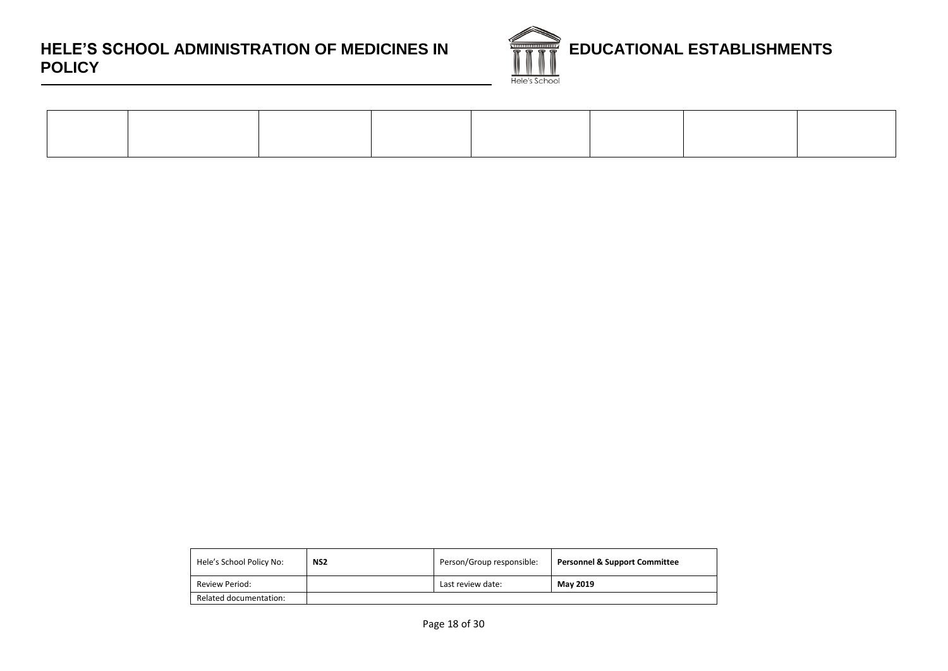# **POLICY**



| Hele's School Policy No: | NS <sub>2</sub> | Person/Group responsible: | <b>Personnel &amp; Support Committee</b> |
|--------------------------|-----------------|---------------------------|------------------------------------------|
| Review Period:           |                 | Last review date:         | <b>May 2019</b>                          |
| Related documentation:   |                 |                           |                                          |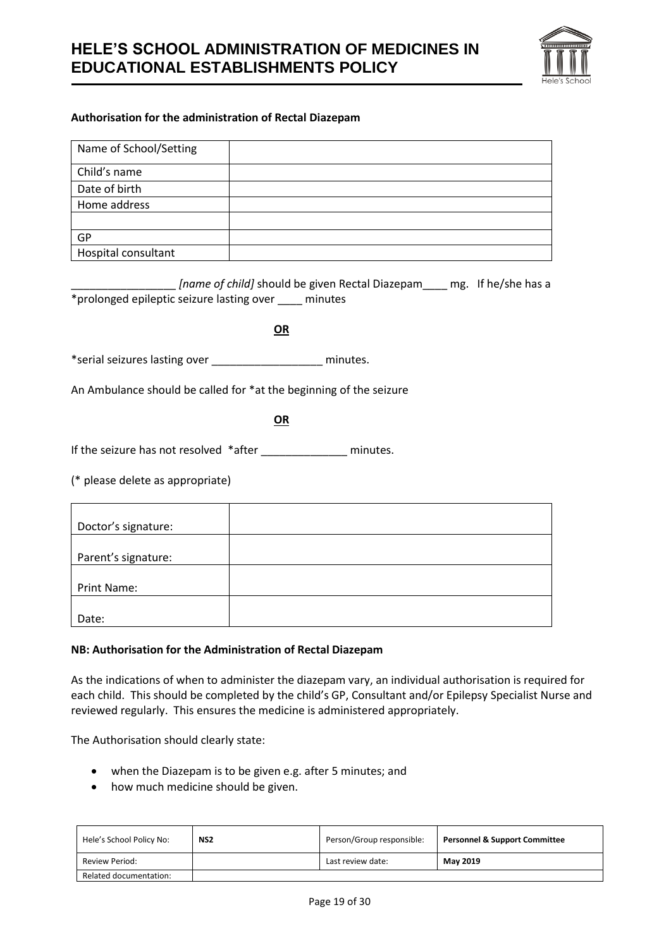

### **Authorisation for the administration of Rectal Diazepam**

| Name of School/Setting |  |
|------------------------|--|
| Child's name           |  |
| Date of birth          |  |
| Home address           |  |
|                        |  |
| GP                     |  |
| Hospital consultant    |  |

\_\_\_\_\_\_\_\_\_\_\_\_\_\_\_\_\_ *[name of child]* should be given Rectal Diazepam\_\_\_\_ mg. If he/she has a \*prolonged epileptic seizure lasting over \_\_\_\_ minutes

**OR**

\*serial seizures lasting over \_\_\_\_\_\_\_\_\_\_\_\_\_\_\_\_\_\_ minutes.

An Ambulance should be called for \*at the beginning of the seizure

**OR**

If the seizure has not resolved \*after \_\_\_\_\_\_\_\_\_\_\_\_\_\_\_\_\_\_ minutes.

(\* please delete as appropriate)

| Doctor's signature: |  |
|---------------------|--|
|                     |  |
| Parent's signature: |  |
|                     |  |
| Print Name:         |  |
|                     |  |
| Date:               |  |

### **NB: Authorisation for the Administration of Rectal Diazepam**

As the indications of when to administer the diazepam vary, an individual authorisation is required for each child. This should be completed by the child's GP, Consultant and/or Epilepsy Specialist Nurse and reviewed regularly. This ensures the medicine is administered appropriately.

The Authorisation should clearly state:

- when the Diazepam is to be given e.g. after 5 minutes; and
- how much medicine should be given.

| Hele's School Policy No: | NS <sub>2</sub> | Person/Group responsible: | <b>Personnel &amp; Support Committee</b> |
|--------------------------|-----------------|---------------------------|------------------------------------------|
| Review Period:           |                 | Last review date:         | May 2019                                 |
| Related documentation:   |                 |                           |                                          |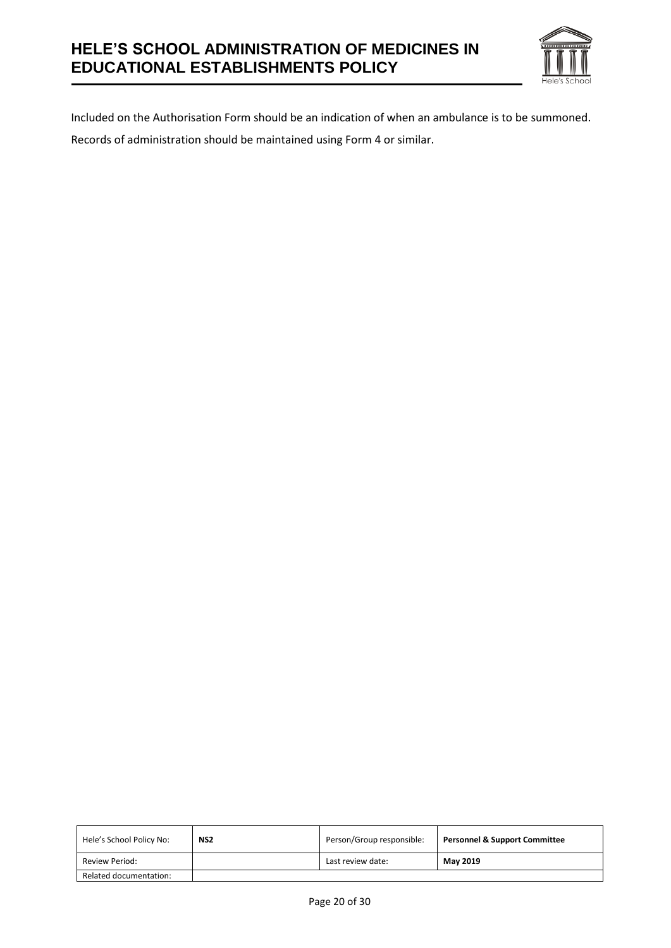

Included on the Authorisation Form should be an indication of when an ambulance is to be summoned. Records of administration should be maintained using Form 4 or similar.

| Hele's School Policy No: | NS <sub>2</sub> | Person/Group responsible: | <b>Personnel &amp; Support Committee</b> |
|--------------------------|-----------------|---------------------------|------------------------------------------|
| Review Period:           |                 | Last review date:         | May 2019                                 |
| Related documentation:   |                 |                           |                                          |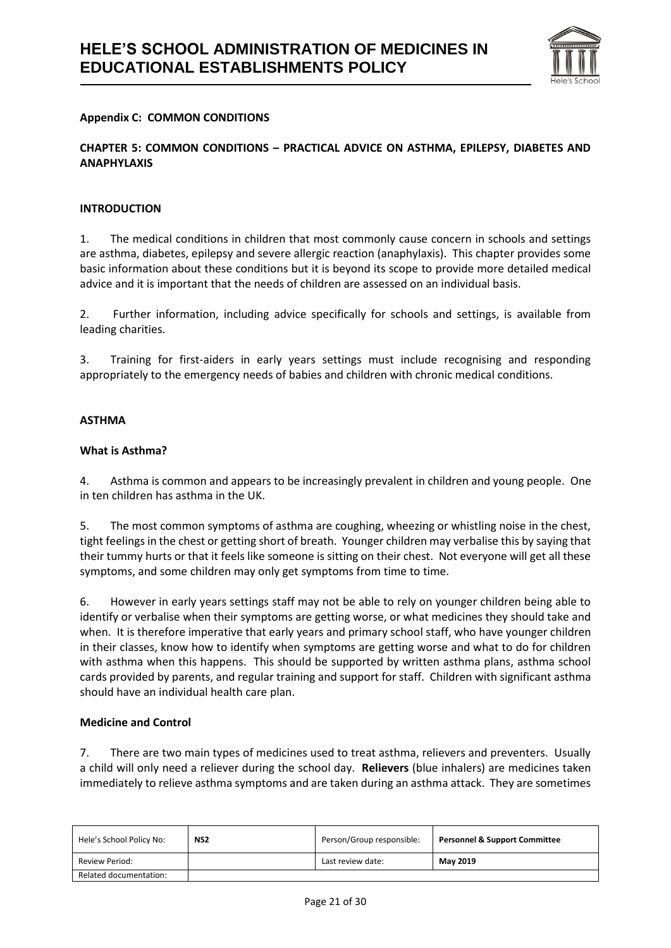

### **Appendix C: COMMON CONDITIONS**

# **CHAPTER 5: COMMON CONDITIONS – PRACTICAL ADVICE ON ASTHMA, EPILEPSY, DIABETES AND ANAPHYLAXIS**

### **INTRODUCTION**

1. The medical conditions in children that most commonly cause concern in schools and settings are asthma, diabetes, epilepsy and severe allergic reaction (anaphylaxis). This chapter provides some basic information about these conditions but it is beyond its scope to provide more detailed medical advice and it is important that the needs of children are assessed on an individual basis.

2. Further information, including advice specifically for schools and settings, is available from leading charities.

3. Training for first-aiders in early years settings must include recognising and responding appropriately to the emergency needs of babies and children with chronic medical conditions.

### **ASTHMA**

### **What is Asthma?**

4. Asthma is common and appears to be increasingly prevalent in children and young people. One in ten children has asthma in the UK.

5. The most common symptoms of asthma are coughing, wheezing or whistling noise in the chest, tight feelings in the chest or getting short of breath. Younger children may verbalise this by saying that their tummy hurts or that it feels like someone is sitting on their chest. Not everyone will get all these symptoms, and some children may only get symptoms from time to time.

6. However in early years settings staff may not be able to rely on younger children being able to identify or verbalise when their symptoms are getting worse, or what medicines they should take and when. It is therefore imperative that early years and primary school staff, who have younger children in their classes, know how to identify when symptoms are getting worse and what to do for children with asthma when this happens. This should be supported by written asthma plans, asthma school cards provided by parents, and regular training and support for staff. Children with significant asthma should have an individual health care plan.

### **Medicine and Control**

7. There are two main types of medicines used to treat asthma, relievers and preventers. Usually a child will only need a reliever during the school day. **Relievers** (blue inhalers) are medicines taken immediately to relieve asthma symptoms and are taken during an asthma attack. They are sometimes

| Hele's School Policy No: | NS <sub>2</sub> | Person/Group responsible: | <b>Personnel &amp; Support Committee</b> |
|--------------------------|-----------------|---------------------------|------------------------------------------|
| Review Period:           |                 | Last review date:         | May 2019                                 |
| Related documentation:   |                 |                           |                                          |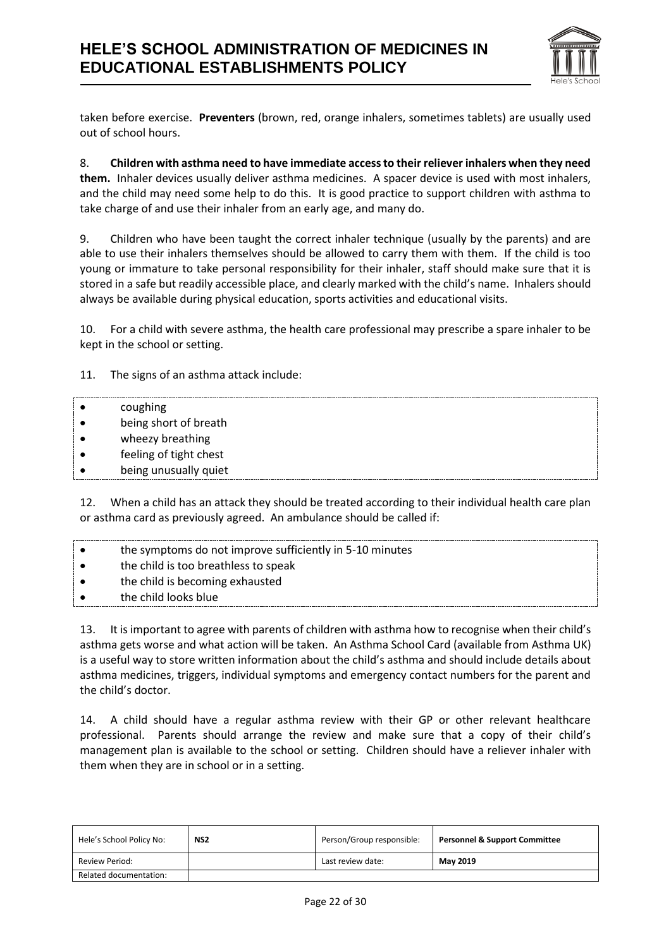

taken before exercise. **Preventers** (brown, red, orange inhalers, sometimes tablets) are usually used out of school hours.

8. **Children with asthma need to have immediate access to their reliever inhalers when they need them.** Inhaler devices usually deliver asthma medicines. A spacer device is used with most inhalers, and the child may need some help to do this. It is good practice to support children with asthma to take charge of and use their inhaler from an early age, and many do.

9. Children who have been taught the correct inhaler technique (usually by the parents) and are able to use their inhalers themselves should be allowed to carry them with them. If the child is too young or immature to take personal responsibility for their inhaler, staff should make sure that it is stored in a safe but readily accessible place, and clearly marked with the child's name. Inhalers should always be available during physical education, sports activities and educational visits.

10. For a child with severe asthma, the health care professional may prescribe a spare inhaler to be kept in the school or setting.

11. The signs of an asthma attack include:

| coughing               |  |
|------------------------|--|
| being short of breath  |  |
| wheezy breathing       |  |
| feeling of tight chest |  |
| being unusually quiet  |  |
|                        |  |

12. When a child has an attack they should be treated according to their individual health care plan or asthma card as previously agreed. An ambulance should be called if:

- the symptoms do not improve sufficiently in 5-10 minutes
- the child is too breathless to speak
- the child is becoming exhausted
- the child looks blue

13. It is important to agree with parents of children with asthma how to recognise when their child's asthma gets worse and what action will be taken. An Asthma School Card (available from Asthma UK) is a useful way to store written information about the child's asthma and should include details about asthma medicines, triggers, individual symptoms and emergency contact numbers for the parent and the child's doctor.

14. A child should have a regular asthma review with their GP or other relevant healthcare professional. Parents should arrange the review and make sure that a copy of their child's management plan is available to the school or setting. Children should have a reliever inhaler with them when they are in school or in a setting.

| Hele's School Policy No: | NS <sub>2</sub> | Person/Group responsible: | <b>Personnel &amp; Support Committee</b> |
|--------------------------|-----------------|---------------------------|------------------------------------------|
| Review Period:           |                 | Last review date:         | Mav 2019                                 |
| Related documentation:   |                 |                           |                                          |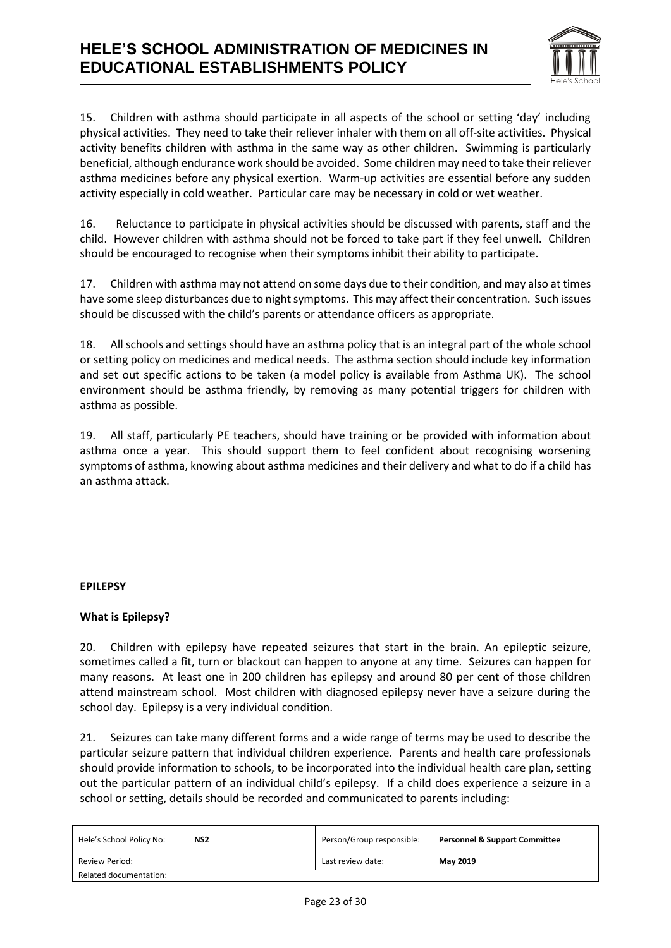

15. Children with asthma should participate in all aspects of the school or setting 'day' including physical activities. They need to take their reliever inhaler with them on all off-site activities. Physical activity benefits children with asthma in the same way as other children. Swimming is particularly beneficial, although endurance work should be avoided. Some children may need to take their reliever asthma medicines before any physical exertion. Warm-up activities are essential before any sudden activity especially in cold weather. Particular care may be necessary in cold or wet weather.

16. Reluctance to participate in physical activities should be discussed with parents, staff and the child. However children with asthma should not be forced to take part if they feel unwell. Children should be encouraged to recognise when their symptoms inhibit their ability to participate.

17. Children with asthma may not attend on some days due to their condition, and may also at times have some sleep disturbances due to night symptoms. This may affect their concentration. Such issues should be discussed with the child's parents or attendance officers as appropriate.

18. All schools and settings should have an asthma policy that is an integral part of the whole school or setting policy on medicines and medical needs. The asthma section should include key information and set out specific actions to be taken (a model policy is available from Asthma UK). The school environment should be asthma friendly, by removing as many potential triggers for children with asthma as possible.

19. All staff, particularly PE teachers, should have training or be provided with information about asthma once a year. This should support them to feel confident about recognising worsening symptoms of asthma, knowing about asthma medicines and their delivery and what to do if a child has an asthma attack.

### **EPILEPSY**

### **What is Epilepsy?**

20. Children with epilepsy have repeated seizures that start in the brain. An epileptic seizure, sometimes called a fit, turn or blackout can happen to anyone at any time. Seizures can happen for many reasons. At least one in 200 children has epilepsy and around 80 per cent of those children attend mainstream school. Most children with diagnosed epilepsy never have a seizure during the school day. Epilepsy is a very individual condition.

21. Seizures can take many different forms and a wide range of terms may be used to describe the particular seizure pattern that individual children experience. Parents and health care professionals should provide information to schools, to be incorporated into the individual health care plan, setting out the particular pattern of an individual child's epilepsy. If a child does experience a seizure in a school or setting, details should be recorded and communicated to parents including:

| Hele's School Policy No: | NS <sub>2</sub> | Person/Group responsible: | <b>Personnel &amp; Support Committee</b> |
|--------------------------|-----------------|---------------------------|------------------------------------------|
| Review Period:           |                 | Last review date:         | May 2019                                 |
| Related documentation:   |                 |                           |                                          |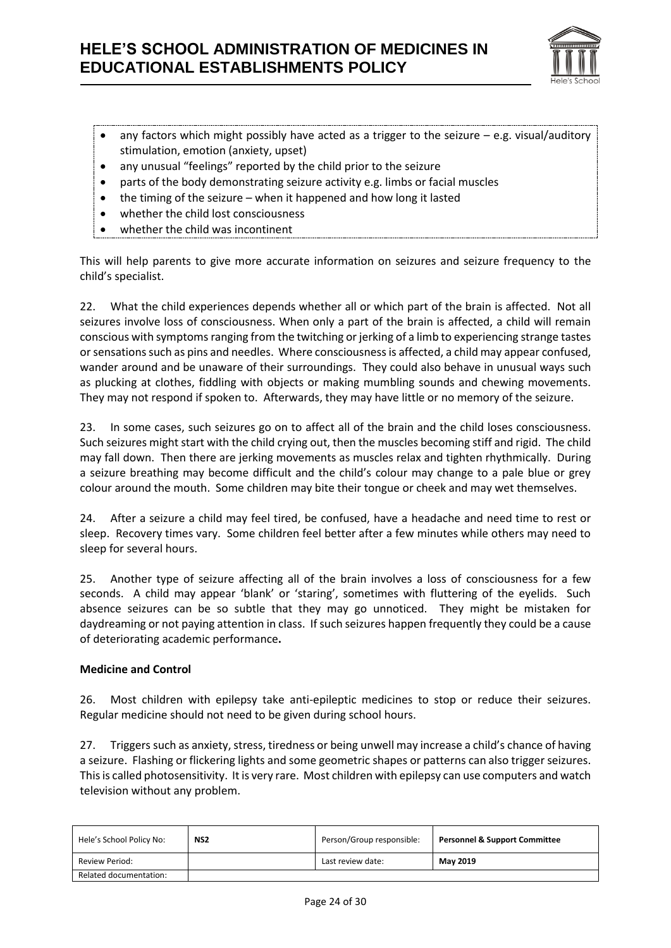

- any factors which might possibly have acted as a trigger to the seizure  $-$  e.g. visual/auditory stimulation, emotion (anxiety, upset)
- any unusual "feelings" reported by the child prior to the seizure
- parts of the body demonstrating seizure activity e.g. limbs or facial muscles
- the timing of the seizure when it happened and how long it lasted
- whether the child lost consciousness
- whether the child was incontinent

This will help parents to give more accurate information on seizures and seizure frequency to the child's specialist.

22. What the child experiences depends whether all or which part of the brain is affected. Not all seizures involve loss of consciousness. When only a part of the brain is affected, a child will remain conscious with symptoms ranging from the twitching or jerking of a limb to experiencing strange tastes or sensations such as pins and needles. Where consciousness is affected, a child may appear confused, wander around and be unaware of their surroundings. They could also behave in unusual ways such as plucking at clothes, fiddling with objects or making mumbling sounds and chewing movements. They may not respond if spoken to. Afterwards, they may have little or no memory of the seizure.

23. In some cases, such seizures go on to affect all of the brain and the child loses consciousness. Such seizures might start with the child crying out, then the muscles becoming stiff and rigid. The child may fall down. Then there are jerking movements as muscles relax and tighten rhythmically. During a seizure breathing may become difficult and the child's colour may change to a pale blue or grey colour around the mouth. Some children may bite their tongue or cheek and may wet themselves.

24. After a seizure a child may feel tired, be confused, have a headache and need time to rest or sleep. Recovery times vary. Some children feel better after a few minutes while others may need to sleep for several hours.

25. Another type of seizure affecting all of the brain involves a loss of consciousness for a few seconds. A child may appear 'blank' or 'staring', sometimes with fluttering of the eyelids. Such absence seizures can be so subtle that they may go unnoticed. They might be mistaken for daydreaming or not paying attention in class. If such seizures happen frequently they could be a cause of deteriorating academic performance**.** 

# **Medicine and Control**

26. Most children with epilepsy take anti-epileptic medicines to stop or reduce their seizures. Regular medicine should not need to be given during school hours.

27. Triggers such as anxiety, stress, tiredness or being unwell may increase a child's chance of having a seizure. Flashing or flickering lights and some geometric shapes or patterns can also trigger seizures. This is called photosensitivity. It is very rare. Most children with epilepsy can use computers and watch television without any problem.

| Hele's School Policy No: | NS <sub>2</sub> | Person/Group responsible: | <b>Personnel &amp; Support Committee</b> |
|--------------------------|-----------------|---------------------------|------------------------------------------|
| Review Period:           |                 | Last review date:         | Mav 2019                                 |
| Related documentation:   |                 |                           |                                          |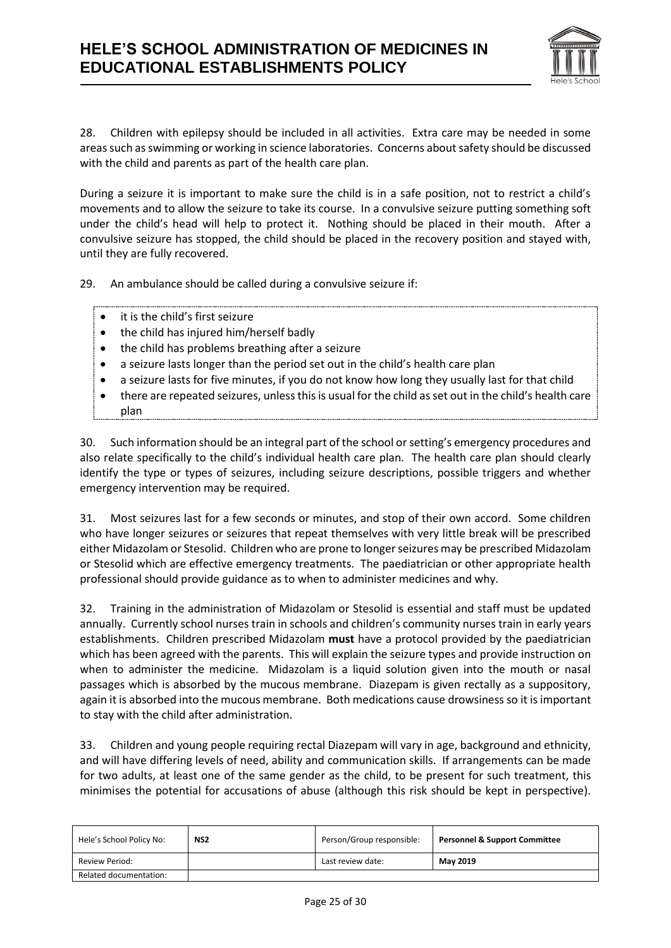

28. Children with epilepsy should be included in all activities. Extra care may be needed in some areas such as swimming or working in science laboratories. Concerns about safety should be discussed with the child and parents as part of the health care plan.

During a seizure it is important to make sure the child is in a safe position, not to restrict a child's movements and to allow the seizure to take its course. In a convulsive seizure putting something soft under the child's head will help to protect it. Nothing should be placed in their mouth. After a convulsive seizure has stopped, the child should be placed in the recovery position and stayed with, until they are fully recovered.

29. An ambulance should be called during a convulsive seizure if:

- it is the child's first seizure
- the child has injured him/herself badly
- the child has problems breathing after a seizure
- a seizure lasts longer than the period set out in the child's health care plan
- a seizure lasts for five minutes, if you do not know how long they usually last for that child
- there are repeated seizures, unless this is usual for the child as set out in the child's health care plan

30. Such information should be an integral part of the school or setting's emergency procedures and also relate specifically to the child's individual health care plan. The health care plan should clearly identify the type or types of seizures, including seizure descriptions, possible triggers and whether emergency intervention may be required.

31. Most seizures last for a few seconds or minutes, and stop of their own accord. Some children who have longer seizures or seizures that repeat themselves with very little break will be prescribed either Midazolam or Stesolid. Children who are prone to longer seizures may be prescribed Midazolam or Stesolid which are effective emergency treatments. The paediatrician or other appropriate health professional should provide guidance as to when to administer medicines and why.

32. Training in the administration of Midazolam or Stesolid is essential and staff must be updated annually. Currently school nurses train in schools and children's community nurses train in early years establishments. Children prescribed Midazolam **must** have a protocol provided by the paediatrician which has been agreed with the parents. This will explain the seizure types and provide instruction on when to administer the medicine. Midazolam is a liquid solution given into the mouth or nasal passages which is absorbed by the mucous membrane. Diazepam is given rectally as a suppository, again it is absorbed into the mucous membrane. Both medications cause drowsiness so it is important to stay with the child after administration.

33. Children and young people requiring rectal Diazepam will vary in age, background and ethnicity, and will have differing levels of need, ability and communication skills. If arrangements can be made for two adults, at least one of the same gender as the child, to be present for such treatment, this minimises the potential for accusations of abuse (although this risk should be kept in perspective).

| Hele's School Policy No: | NS <sub>2</sub> | Person/Group responsible: | <b>Personnel &amp; Support Committee</b> |
|--------------------------|-----------------|---------------------------|------------------------------------------|
| Review Period:           |                 | Last review date:         | May 2019                                 |
| Related documentation:   |                 |                           |                                          |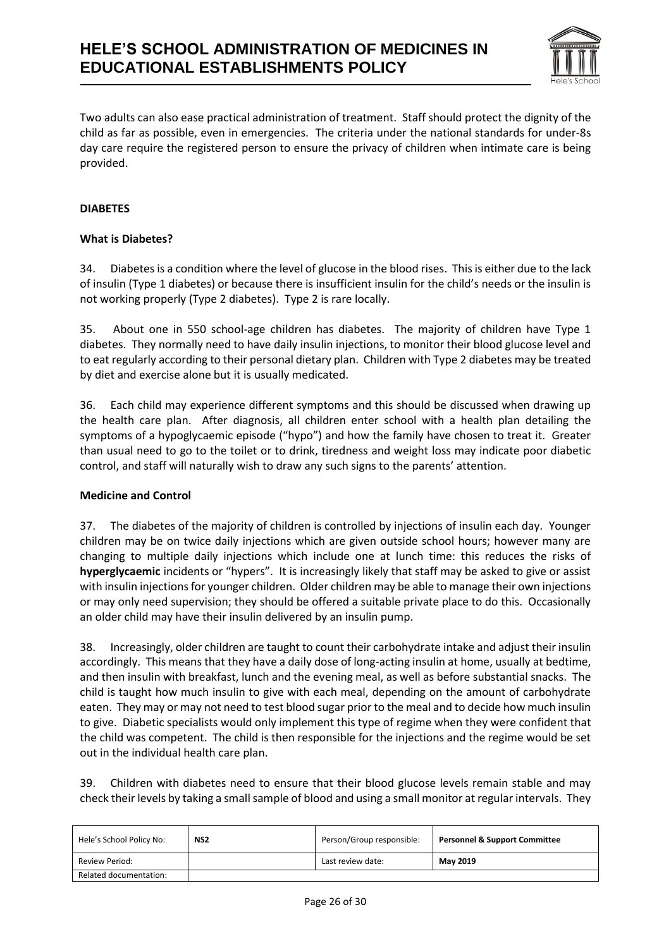

Two adults can also ease practical administration of treatment. Staff should protect the dignity of the child as far as possible, even in emergencies. The criteria under the national standards for under-8s day care require the registered person to ensure the privacy of children when intimate care is being provided.

## **DIABETES**

### **What is Diabetes?**

34. Diabetes is a condition where the level of glucose in the blood rises. This is either due to the lack of insulin (Type 1 diabetes) or because there is insufficient insulin for the child's needs or the insulin is not working properly (Type 2 diabetes). Type 2 is rare locally.

35. About one in 550 school-age children has diabetes. The majority of children have Type 1 diabetes. They normally need to have daily insulin injections, to monitor their blood glucose level and to eat regularly according to their personal dietary plan. Children with Type 2 diabetes may be treated by diet and exercise alone but it is usually medicated.

36. Each child may experience different symptoms and this should be discussed when drawing up the health care plan. After diagnosis, all children enter school with a health plan detailing the symptoms of a hypoglycaemic episode ("hypo") and how the family have chosen to treat it. Greater than usual need to go to the toilet or to drink, tiredness and weight loss may indicate poor diabetic control, and staff will naturally wish to draw any such signs to the parents' attention.

### **Medicine and Control**

37. The diabetes of the majority of children is controlled by injections of insulin each day. Younger children may be on twice daily injections which are given outside school hours; however many are changing to multiple daily injections which include one at lunch time: this reduces the risks of **hyperglycaemic** incidents or "hypers". It is increasingly likely that staff may be asked to give or assist with insulin injections for younger children. Older children may be able to manage their own injections or may only need supervision; they should be offered a suitable private place to do this. Occasionally an older child may have their insulin delivered by an insulin pump.

38. Increasingly, older children are taught to count their carbohydrate intake and adjust their insulin accordingly. This means that they have a daily dose of long-acting insulin at home, usually at bedtime, and then insulin with breakfast, lunch and the evening meal, as well as before substantial snacks. The child is taught how much insulin to give with each meal, depending on the amount of carbohydrate eaten. They may or may not need to test blood sugar prior to the meal and to decide how much insulin to give. Diabetic specialists would only implement this type of regime when they were confident that the child was competent. The child is then responsible for the injections and the regime would be set out in the individual health care plan.

39. Children with diabetes need to ensure that their blood glucose levels remain stable and may check their levels by taking a small sample of blood and using a small monitor at regular intervals. They

| Hele's School Policy No: | NS <sub>2</sub> | Person/Group responsible: | <b>Personnel &amp; Support Committee</b> |
|--------------------------|-----------------|---------------------------|------------------------------------------|
| Review Period:           |                 | Last review date:         | May 2019                                 |
| Related documentation:   |                 |                           |                                          |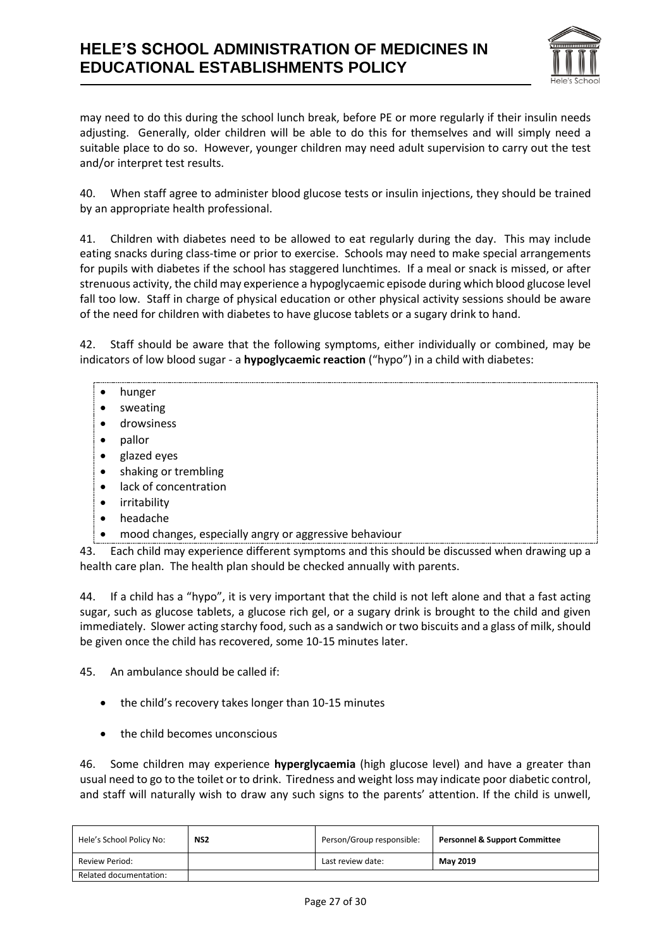

may need to do this during the school lunch break, before PE or more regularly if their insulin needs adjusting. Generally, older children will be able to do this for themselves and will simply need a suitable place to do so. However, younger children may need adult supervision to carry out the test and/or interpret test results.

40. When staff agree to administer blood glucose tests or insulin injections, they should be trained by an appropriate health professional.

41. Children with diabetes need to be allowed to eat regularly during the day. This may include eating snacks during class-time or prior to exercise. Schools may need to make special arrangements for pupils with diabetes if the school has staggered lunchtimes. If a meal or snack is missed, or after strenuous activity, the child may experience a hypoglycaemic episode during which blood glucose level fall too low. Staff in charge of physical education or other physical activity sessions should be aware of the need for children with diabetes to have glucose tablets or a sugary drink to hand.

42. Staff should be aware that the following symptoms, either individually or combined, may be indicators of low blood sugar - a **hypoglycaemic reaction** ("hypo") in a child with diabetes:

- hunger
- sweating
- drowsiness
- pallor
- glazed eyes
- shaking or trembling
- lack of concentration
- irritability
- headache
- mood changes, especially angry or aggressive behaviour

43. Each child may experience different symptoms and this should be discussed when drawing up a health care plan. The health plan should be checked annually with parents.

44. If a child has a "hypo", it is very important that the child is not left alone and that a fast acting sugar, such as glucose tablets, a glucose rich gel, or a sugary drink is brought to the child and given immediately. Slower acting starchy food, such as a sandwich or two biscuits and a glass of milk, should be given once the child has recovered, some 10-15 minutes later.

45. An ambulance should be called if:

- the child's recovery takes longer than 10-15 minutes
- the child becomes unconscious

46. Some children may experience **hyperglycaemia** (high glucose level) and have a greater than usual need to go to the toilet or to drink. Tiredness and weight loss may indicate poor diabetic control, and staff will naturally wish to draw any such signs to the parents' attention. If the child is unwell,

| Hele's School Policy No: | NS <sub>2</sub> | Person/Group responsible: | <b>Personnel &amp; Support Committee</b> |
|--------------------------|-----------------|---------------------------|------------------------------------------|
| Review Period:           |                 | Last review date:         | Mav 2019                                 |
| Related documentation:   |                 |                           |                                          |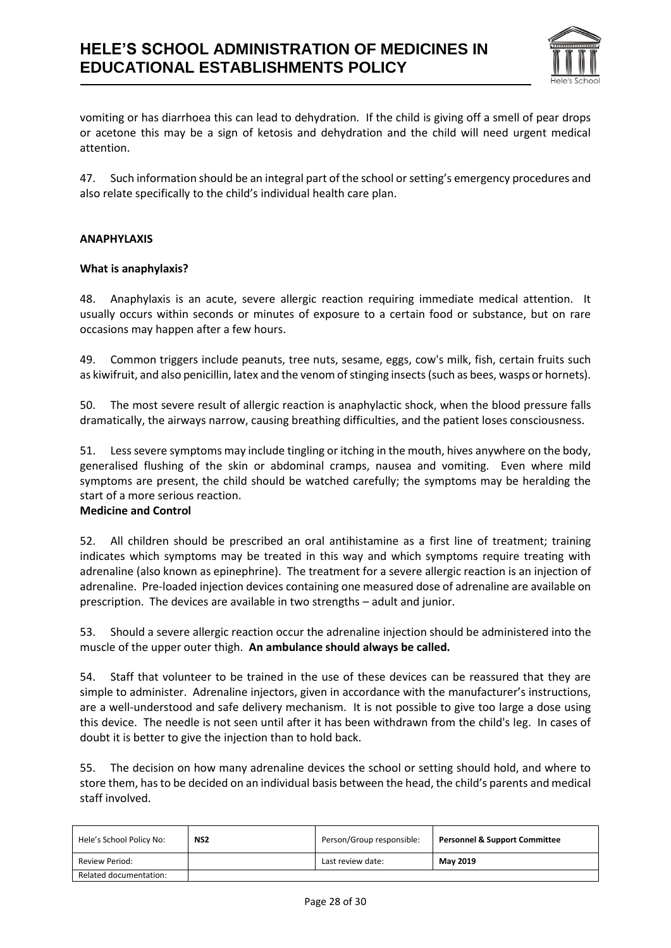

vomiting or has diarrhoea this can lead to dehydration. If the child is giving off a smell of pear drops or acetone this may be a sign of ketosis and dehydration and the child will need urgent medical attention.

47. Such information should be an integral part of the school or setting's emergency procedures and also relate specifically to the child's individual health care plan.

## **ANAPHYLAXIS**

### **What is anaphylaxis?**

48. Anaphylaxis is an acute, severe allergic reaction requiring immediate medical attention. It usually occurs within seconds or minutes of exposure to a certain food or substance, but on rare occasions may happen after a few hours.

49. Common triggers include peanuts, tree nuts, sesame, eggs, cow's milk, fish, certain fruits such as kiwifruit, and also penicillin, latex and the venom of stinging insects (such as bees, wasps or hornets).

50. The most severe result of allergic reaction is anaphylactic shock, when the blood pressure falls dramatically, the airways narrow, causing breathing difficulties, and the patient loses consciousness.

51. Less severe symptoms may include tingling or itching in the mouth, hives anywhere on the body, generalised flushing of the skin or abdominal cramps, nausea and vomiting. Even where mild symptoms are present, the child should be watched carefully; the symptoms may be heralding the start of a more serious reaction.

# **Medicine and Control**

52. All children should be prescribed an oral antihistamine as a first line of treatment; training indicates which symptoms may be treated in this way and which symptoms require treating with adrenaline (also known as epinephrine). The treatment for a severe allergic reaction is an injection of adrenaline. Pre-loaded injection devices containing one measured dose of adrenaline are available on prescription. The devices are available in two strengths – adult and junior.

53. Should a severe allergic reaction occur the adrenaline injection should be administered into the muscle of the upper outer thigh. **An ambulance should always be called.**

54. Staff that volunteer to be trained in the use of these devices can be reassured that they are simple to administer. Adrenaline injectors, given in accordance with the manufacturer's instructions, are a well-understood and safe delivery mechanism. It is not possible to give too large a dose using this device. The needle is not seen until after it has been withdrawn from the child's leg. In cases of doubt it is better to give the injection than to hold back.

55. The decision on how many adrenaline devices the school or setting should hold, and where to store them, has to be decided on an individual basis between the head, the child's parents and medical staff involved.

| Hele's School Policy No: | NS <sub>2</sub> | Person/Group responsible: | <b>Personnel &amp; Support Committee</b> |
|--------------------------|-----------------|---------------------------|------------------------------------------|
| Review Period:           |                 | Last review date:         | May 2019                                 |
| Related documentation:   |                 |                           |                                          |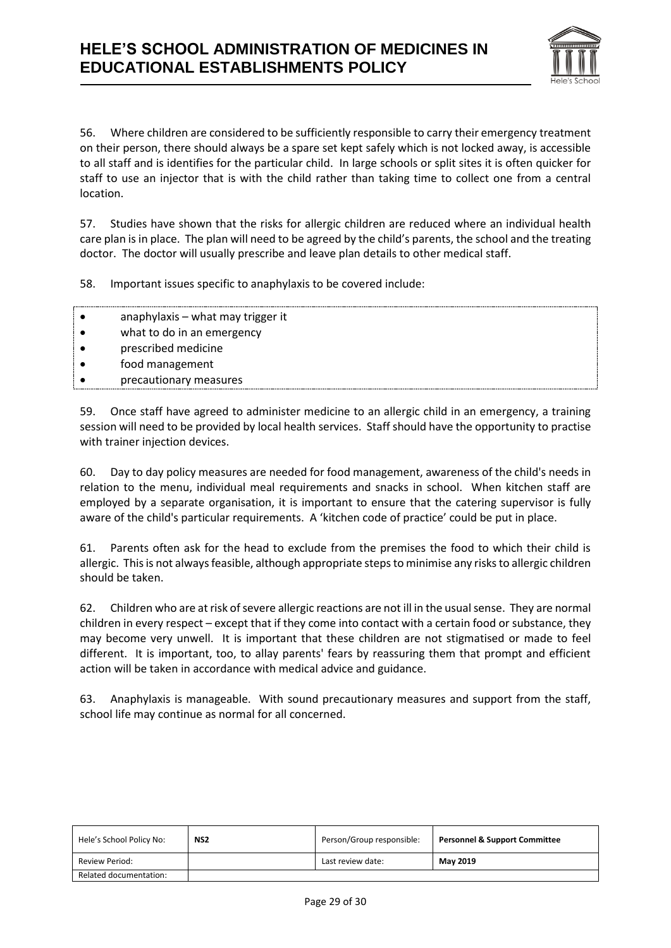

56. Where children are considered to be sufficiently responsible to carry their emergency treatment on their person, there should always be a spare set kept safely which is not locked away, is accessible to all staff and is identifies for the particular child. In large schools or split sites it is often quicker for staff to use an injector that is with the child rather than taking time to collect one from a central location.

57. Studies have shown that the risks for allergic children are reduced where an individual health care plan is in place. The plan will need to be agreed by the child's parents, the school and the treating doctor. The doctor will usually prescribe and leave plan details to other medical staff.

58. Important issues specific to anaphylaxis to be covered include:

- anaphylaxis what may trigger it
- what to do in an emergency
- prescribed medicine
- food management
- precautionary measures

59. Once staff have agreed to administer medicine to an allergic child in an emergency, a training session will need to be provided by local health services. Staff should have the opportunity to practise with trainer injection devices.

60. Day to day policy measures are needed for food management, awareness of the child's needs in relation to the menu, individual meal requirements and snacks in school. When kitchen staff are employed by a separate organisation, it is important to ensure that the catering supervisor is fully aware of the child's particular requirements. A 'kitchen code of practice' could be put in place.

61. Parents often ask for the head to exclude from the premises the food to which their child is allergic. This is not always feasible, although appropriate steps to minimise any risks to allergic children should be taken.

62. Children who are at risk of severe allergic reactions are not ill in the usual sense. They are normal children in every respect – except that if they come into contact with a certain food or substance, they may become very unwell. It is important that these children are not stigmatised or made to feel different. It is important, too, to allay parents' fears by reassuring them that prompt and efficient action will be taken in accordance with medical advice and guidance.

63. Anaphylaxis is manageable. With sound precautionary measures and support from the staff, school life may continue as normal for all concerned.

| Hele's School Policy No: | NS <sub>2</sub> | Person/Group responsible: | <b>Personnel &amp; Support Committee</b> |
|--------------------------|-----------------|---------------------------|------------------------------------------|
| Review Period:           |                 | Last review date:         | May 2019                                 |
| Related documentation:   |                 |                           |                                          |